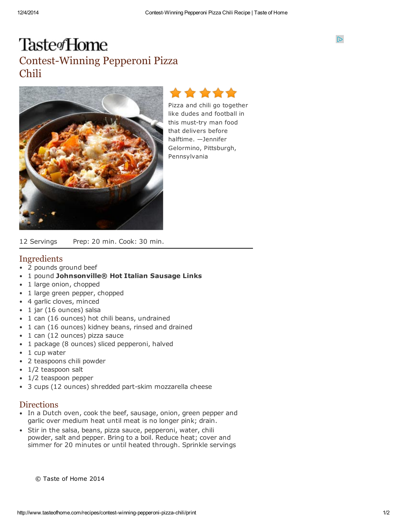$\mathbb{D}$ 

# Taste<sub>fHome</sub> Contest-Winning Pepperoni Pizza Chili





Pizza and chili go together like dudes and football in this must-try man food that delivers before halftime. —Jennifer Gelormino, Pittsburgh, Pennsylvania

12 Servings Prep: 20 min. Cook: 30 min.

## Ingredients

- 2 pounds ground beef  $\bullet$
- $\bullet$ 1 pound Johnsonville® Hot Italian Sausage Links
- $\bullet$ 1 large onion, chopped
- $\bullet$ 1 large green pepper, chopped
- 4 garlic cloves, minced
- 1 jar (16 ounces) salsa  $\bullet$
- 1 can (16 ounces) hot chili beans, undrained
- 1 can (16 ounces) kidney beans, rinsed and drained
- 1 can (12 ounces) pizza sauce
- 1 package (8 ounces) sliced pepperoni, halved
- 1 cup water
- 2 teaspoons chili powder
- 1/2 teaspoon salt
- 1/2 teaspoon pepper
- 3 cups (12 ounces) shredded part-skim mozzarella cheese

#### **Directions**

- In a Dutch oven, cook the beef, sausage, onion, green pepper and garlic over medium heat until meat is no longer pink; drain.
- Stir in the salsa, beans, pizza sauce, pepperoni, water, chili powder, salt and pepper. Bring to a boil. Reduce heat; cover and simmer for 20 minutes or until heated through. Sprinkle servings

© Taste of Home 2014